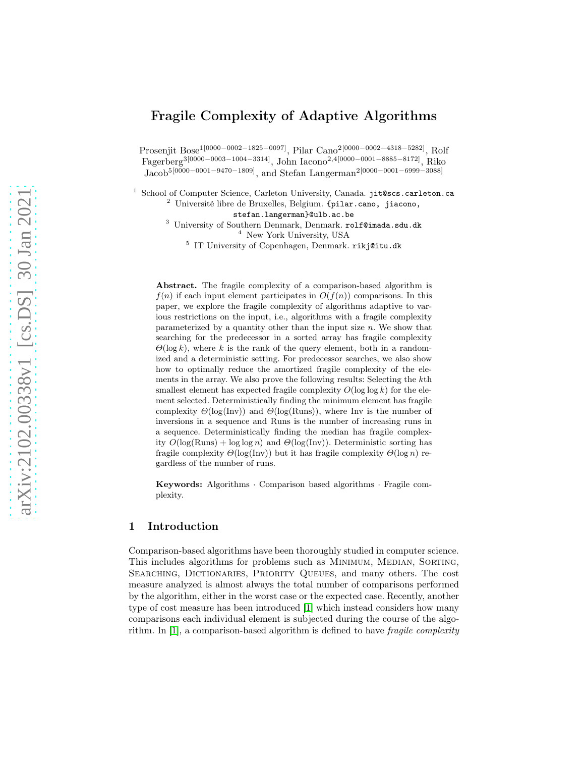# Fragile Complexity of Adaptive Algorithms

Prosenjit Bose1[0000−0002−1825−0097], Pilar Cano2[0000−0002−4318−5282], Rolf Fagerberg3[0000−0003−1004−3314], John Iacono2,4[0000−0001−8885−8172], Riko Jacob5[0000−0001−9470−1809], and Stefan Langerman2[0000−0001−6999−3088]

<sup>1</sup> School of Computer Science, Carleton University, Canada. jit@scs.carleton.ca  $2$  Université libre de Bruxelles, Belgium. {pilar.cano, jiacono,

stefan.langerman}@ulb.ac.be

 $^3$ University of Southern Denmark, Denmark. rolf@imada.sdu.dk <sup>4</sup> New York University, USA

5 IT University of Copenhagen, Denmark. rikj@itu.dk

Abstract. The fragile complexity of a comparison-based algorithm is  $f(n)$  if each input element participates in  $O(f(n))$  comparisons. In this paper, we explore the fragile complexity of algorithms adaptive to various restrictions on the input, i.e., algorithms with a fragile complexity parameterized by a quantity other than the input size  $n$ . We show that searching for the predecessor in a sorted array has fragile complexity  $\Theta(\log k)$ , where k is the rank of the query element, both in a randomized and a deterministic setting. For predecessor searches, we also show how to optimally reduce the amortized fragile complexity of the elements in the array. We also prove the following results: Selecting the kth smallest element has expected fragile complexity  $O(\log \log k)$  for the element selected. Deterministically finding the minimum element has fragile complexity  $\Theta(\log(\text{Inv}))$  and  $\Theta(\log(\text{Runs}))$ , where Inv is the number of inversions in a sequence and Runs is the number of increasing runs in a sequence. Deterministically finding the median has fragile complexity  $O(\log(Runs) + \log \log n)$  and  $\Theta(\log(\text{Inv}))$ . Deterministic sorting has fragile complexity  $\Theta(\log(\text{Inv}))$  but it has fragile complexity  $\Theta(\log n)$  regardless of the number of runs.

Keywords: Algorithms · Comparison based algorithms · Fragile complexity.

### 1 Introduction

Comparison-based algorithms have been thoroughly studied in computer science. This includes algorithms for problems such as MINIMUM, MEDIAN, SORTING, Searching, Dictionaries, Priority Queues, and many others. The cost measure analyzed is almost always the total number of comparisons performed by the algorithm, either in the worst case or the expected case. Recently, another type of cost measure has been introduced [\[1\]](#page-13-0) which instead considers how many comparisons each individual element is subjected during the course of the algorithm. In [\[1\]](#page-13-0), a comparison-based algorithm is defined to have fragile complexity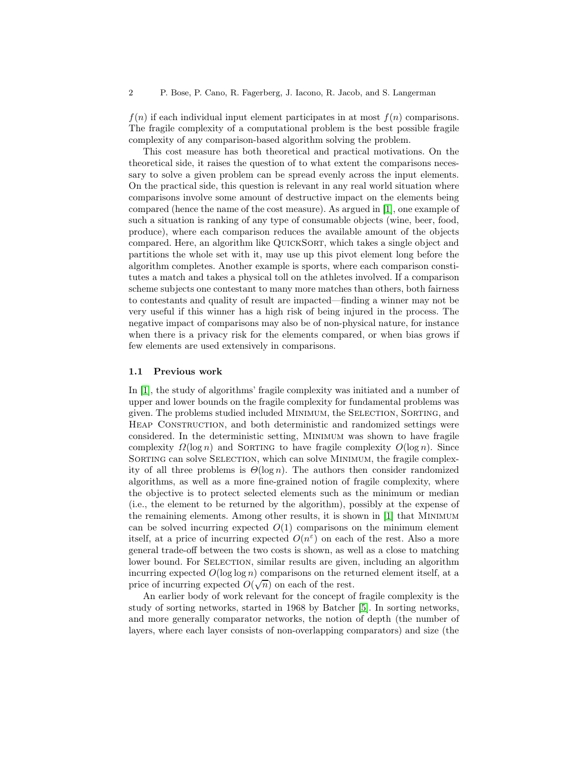$f(n)$  if each individual input element participates in at most  $f(n)$  comparisons. The fragile complexity of a computational problem is the best possible fragile complexity of any comparison-based algorithm solving the problem.

This cost measure has both theoretical and practical motivations. On the theoretical side, it raises the question of to what extent the comparisons necessary to solve a given problem can be spread evenly across the input elements. On the practical side, this question is relevant in any real world situation where comparisons involve some amount of destructive impact on the elements being compared (hence the name of the cost measure). As argued in [\[1\]](#page-13-0), one example of such a situation is ranking of any type of consumable objects (wine, beer, food, produce), where each comparison reduces the available amount of the objects compared. Here, an algorithm like QuickSort, which takes a single object and partitions the whole set with it, may use up this pivot element long before the algorithm completes. Another example is sports, where each comparison constitutes a match and takes a physical toll on the athletes involved. If a comparison scheme subjects one contestant to many more matches than others, both fairness to contestants and quality of result are impacted—finding a winner may not be very useful if this winner has a high risk of being injured in the process. The negative impact of comparisons may also be of non-physical nature, for instance when there is a privacy risk for the elements compared, or when bias grows if few elements are used extensively in comparisons.

### 1.1 Previous work

In [\[1\]](#page-13-0), the study of algorithms' fragile complexity was initiated and a number of upper and lower bounds on the fragile complexity for fundamental problems was given. The problems studied included Minimum, the Selection, Sorting, and HEAP CONSTRUCTION, and both deterministic and randomized settings were considered. In the deterministic setting, Minimum was shown to have fragile complexity  $\Omega(\log n)$  and SORTING to have fragile complexity  $O(\log n)$ . Since Sorting can solve Selection, which can solve Minimum, the fragile complexity of all three problems is  $\Theta(\log n)$ . The authors then consider randomized algorithms, as well as a more fine-grained notion of fragile complexity, where the objective is to protect selected elements such as the minimum or median (i.e., the element to be returned by the algorithm), possibly at the expense of the remaining elements. Among other results, it is shown in [\[1\]](#page-13-0) that MINIMUM can be solved incurring expected  $O(1)$  comparisons on the minimum element itself, at a price of incurring expected  $O(n^{\epsilon})$  on each of the rest. Also a more general trade-off between the two costs is shown, as well as a close to matching lower bound. For SELECTION, similar results are given, including an algorithm incurring expected  $O(\log \log n)$  comparisons on the returned element itself, at a price of incurring expected  $O(\sqrt{n})$  on each of the rest.

An earlier body of work relevant for the concept of fragile complexity is the study of sorting networks, started in 1968 by Batcher [\[5\]](#page-13-1). In sorting networks, and more generally comparator networks, the notion of depth (the number of layers, where each layer consists of non-overlapping comparators) and size (the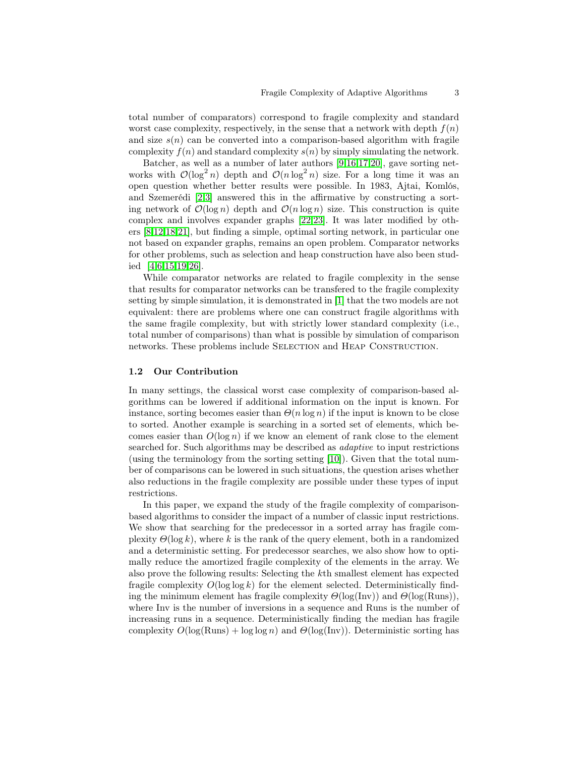total number of comparators) correspond to fragile complexity and standard worst case complexity, respectively, in the sense that a network with depth  $f(n)$ and size  $s(n)$  can be converted into a comparison-based algorithm with fragile complexity  $f(n)$  and standard complexity  $s(n)$  by simply simulating the network.

Batcher, as well as a number of later authors [9,16[,17,](#page-14-0)20], gave sorting networks with  $\mathcal{O}(\log^2 n)$  depth and  $\mathcal{O}(n \log^2 n)$  size. For a long time it was an open question whether better results were possible. In 1983, Ajtai, Komlós, and Szemerédi [\[2](#page-13-2)[,3\]](#page-13-3) answered this in the affirmative by constructing a sorting network of  $\mathcal{O}(\log n)$  depth and  $\mathcal{O}(n \log n)$  size. This construction is quite complex and involves expander graphs [\[22,](#page-14-1)23]. It was later modified by others [8,12,18,21], but finding a simple, optimal sorting network, in particular one not based on expander graphs, remains an open problem. Comparator networks for other problems, such as selection and heap construction have also been studied [\[4,](#page-13-4)[6](#page-13-5)[,15](#page-14-2)[,19](#page-14-3)[,26\]](#page-14-4).

While comparator networks are related to fragile complexity in the sense that results for comparator networks can be transfered to the fragile complexity setting by simple simulation, it is demonstrated in [\[1\]](#page-13-0) that the two models are not equivalent: there are problems where one can construct fragile algorithms with the same fragile complexity, but with strictly lower standard complexity (i.e., total number of comparisons) than what is possible by simulation of comparison networks. These problems include SELECTION and HEAP CONSTRUCTION.

### 1.2 Our Contribution

In many settings, the classical worst case complexity of comparison-based algorithms can be lowered if additional information on the input is known. For instance, sorting becomes easier than  $\Theta(n \log n)$  if the input is known to be close to sorted. Another example is searching in a sorted set of elements, which becomes easier than  $O(\log n)$  if we know an element of rank close to the element searched for. Such algorithms may be described as adaptive to input restrictions (using the terminology from the sorting setting  $[10]$ ). Given that the total number of comparisons can be lowered in such situations, the question arises whether also reductions in the fragile complexity are possible under these types of input restrictions.

In this paper, we expand the study of the fragile complexity of comparisonbased algorithms to consider the impact of a number of classic input restrictions. We show that searching for the predecessor in a sorted array has fragile complexity  $\Theta(\log k)$ , where k is the rank of the query element, both in a randomized and a deterministic setting. For predecessor searches, we also show how to optimally reduce the amortized fragile complexity of the elements in the array. We also prove the following results: Selecting the kth smallest element has expected fragile complexity  $O(\log \log k)$  for the element selected. Deterministically finding the minimum element has fragile complexity  $\Theta(\log(\text{Inv}))$  and  $\Theta(\log(\text{Runs})),$ where Inv is the number of inversions in a sequence and Runs is the number of increasing runs in a sequence. Deterministically finding the median has fragile complexity  $O(\log(Runs) + \log \log n)$  and  $\Theta(\log(\text{Inv}))$ . Deterministic sorting has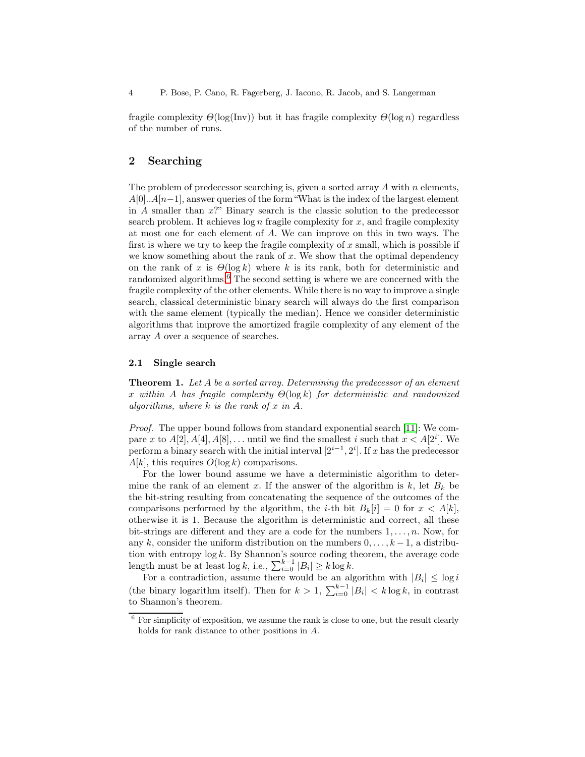fragile complexity  $\Theta(\log(\text{Inv}))$  but it has fragile complexity  $\Theta(\log n)$  regardless of the number of runs.

## 2 Searching

The problem of predecessor searching is, given a sorted array  $A$  with  $n$  elements,  $A[0]...A[n-1]$ , answer queries of the form "What is the index of the largest element in  $A$  smaller than  $x$ ?" Binary search is the classic solution to the predecessor search problem. It achieves  $\log n$  fragile complexity for x, and fragile complexity at most one for each element of A. We can improve on this in two ways. The first is where we try to keep the fragile complexity of  $x$  small, which is possible if we know something about the rank of  $x$ . We show that the optimal dependency on the rank of x is  $\Theta(\log k)$  where k is its rank, both for deterministic and randomized algorithms.<sup>[6](#page-3-0)</sup> The second setting is where we are concerned with the fragile complexity of the other elements. While there is no way to improve a single search, classical deterministic binary search will always do the first comparison with the same element (typically the median). Hence we consider deterministic algorithms that improve the amortized fragile complexity of any element of the array A over a sequence of searches.

### <span id="page-3-1"></span>2.1 Single search

**Theorem 1.** Let A be a sorted array. Determining the predecessor of an element x within A has fragile complexity  $\Theta(\log k)$  for deterministic and randomized algorithms, where  $k$  is the rank of  $x$  in  $A$ .

Proof. The upper bound follows from standard exponential search [11]: We compare x to  $A[2], A[4], A[8], \ldots$  until we find the smallest i such that  $x < A[2^i]$ . We perform a binary search with the initial interval  $[2^{i-1}, 2^i]$ . If x has the predecessor  $A[k]$ , this requires  $O(\log k)$  comparisons.

For the lower bound assume we have a deterministic algorithm to determine the rank of an element x. If the answer of the algorithm is  $k$ , let  $B_k$  be the bit-string resulting from concatenating the sequence of the outcomes of the comparisons performed by the algorithm, the *i*-th bit  $B_k[i] = 0$  for  $x < A[k]$ , otherwise it is 1. Because the algorithm is deterministic and correct, all these bit-strings are different and they are a code for the numbers  $1, \ldots, n$ . Now, for any k, consider the uniform distribution on the numbers  $0, \ldots, k-1$ , a distribution with entropy log k. By Shannon's source coding theorem, the average code length must be at least  $\log k$ , i.e.,  $\sum_{i=0}^{k-1} |B_i| \ge k \log k$ .

For a contradiction, assume there would be an algorithm with  $|B_i| \leq \log i$ (the binary logarithm itself). Then for  $k > 1$ ,  $\sum_{i=0}^{k-1} |B_i| < k \log k$ , in contrast to Shannon's theorem.

<span id="page-3-0"></span> $6$  For simplicity of exposition, we assume the rank is close to one, but the result clearly holds for rank distance to other positions in A.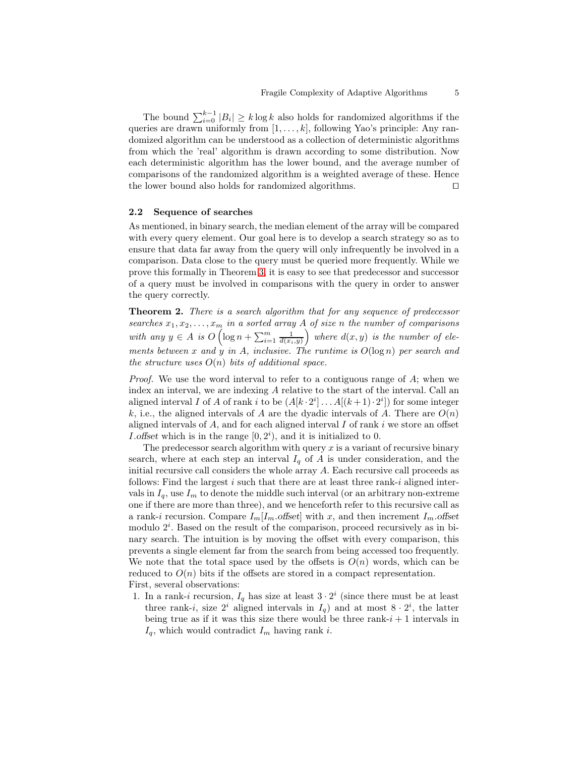The bound  $\sum_{i=0}^{k-1} |B_i| \ge k \log k$  also holds for randomized algorithms if the queries are drawn uniformly from  $[1, \ldots, k]$ , following Yao's principle: Any randomized algorithm can be understood as a collection of deterministic algorithms from which the 'real' algorithm is drawn according to some distribution. Now each deterministic algorithm has the lower bound, and the average number of comparisons of the randomized algorithm is a weighted average of these. Hence the lower bound also holds for randomized algorithms. ⊓⊔

### 2.2 Sequence of searches

As mentioned, in binary search, the median element of the array will be compared with every query element. Our goal here is to develop a search strategy so as to ensure that data far away from the query will only infrequently be involved in a comparison. Data close to the query must be queried more frequently. While we prove this formally in Theorem [3,](#page-6-0) it is easy to see that predecessor and successor of a query must be involved in comparisons with the query in order to answer the query correctly.

<span id="page-4-1"></span>Theorem 2. There is a search algorithm that for any sequence of predecessor searches  $x_1, x_2, \ldots, x_m$  in a sorted array A of size n the number of comparisons with any  $y \in A$  is  $O\left(\log n + \sum_{i=1}^m \frac{1}{d(x_i, y)}\right)$  where  $d(x, y)$  is the number of elements between x and y in A, inclusive. The runtime is  $O(\log n)$  per search and the structure uses  $O(n)$  bits of additional space.

Proof. We use the word interval to refer to a contiguous range of A; when we index an interval, we are indexing A relative to the start of the interval. Call an aligned interval I of A of rank i to be  $(A[k \cdot 2^i] \dots A[(k+1) \cdot 2^i])$  for some integer k, i.e., the aligned intervals of A are the dyadic intervals of A. There are  $O(n)$ aligned intervals of  $A$ , and for each aligned interval  $I$  of rank  $i$  we store an offset *I*.offset which is in the range  $[0, 2<sup>i</sup>)$ , and it is initialized to 0.

The predecessor search algorithm with query  $x$  is a variant of recursive binary search, where at each step an interval  $I_q$  of A is under consideration, and the initial recursive call considers the whole array A. Each recursive call proceeds as follows: Find the largest  $i$  such that there are at least three rank- $i$  aligned intervals in  $I_q$ , use  $I_m$  to denote the middle such interval (or an arbitrary non-extreme one if there are more than three), and we henceforth refer to this recursive call as a rank-i recursion. Compare  $I_m[I_m$  offset with x, and then increment  $I_m$  offset modulo  $2^i$ . Based on the result of the comparison, proceed recursively as in binary search. The intuition is by moving the offset with every comparison, this prevents a single element far from the search from being accessed too frequently. We note that the total space used by the offsets is  $O(n)$  words, which can be reduced to  $O(n)$  bits if the offsets are stored in a compact representation. First, several observations:

<span id="page-4-0"></span>1. In a rank-i recursion,  $I_q$  has size at least  $3 \cdot 2^i$  (since there must be at least three rank-*i*, size  $2^i$  aligned intervals in  $I_q$ ) and at most  $8 \cdot 2^i$ , the latter being true as if it was this size there would be three rank- $i + 1$  intervals in  $I_q$ , which would contradict  $I_m$  having rank i.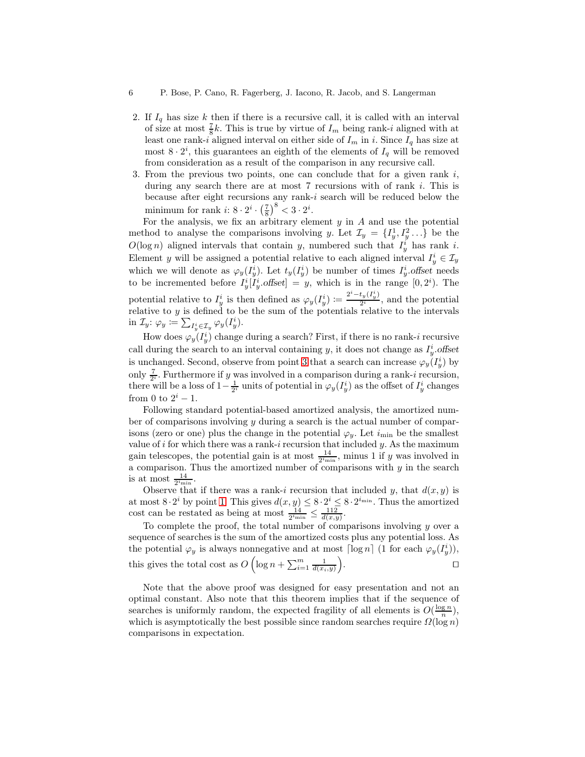- 6 P. Bose, P. Cano, R. Fagerberg, J. Iacono, R. Jacob, and S. Langerman
- 2. If  $I_q$  has size k then if there is a recursive call, it is called with an interval of size at most  $\frac{7}{8}k$ . This is true by virtue of  $I_m$  being rank-i aligned with at least one rank- $i$  aligned interval on either side of  $I_m$  in  $i.$  Since  $I_q$  has size at most  $8 \cdot 2^i$ , this guarantees an eighth of the elements of  $I_q$  will be removed from consideration as a result of the comparison in any recursive call.
- <span id="page-5-0"></span>3. From the previous two points, one can conclude that for a given rank  $i$ , during any search there are at most  $7$  recursions with of rank  $i$ . This is because after eight recursions any rank-i search will be reduced below the minimum for rank  $i: 8 \cdot 2^i \cdot \left(\frac{7}{8}\right)^8 < 3 \cdot 2^i$ .

For the analysis, we fix an arbitrary element  $y$  in  $A$  and use the potential method to analyse the comparisons involving y. Let  $\mathcal{I}_y = \{I_y^1, I_y^2, \ldots\}$  be the  $O(\log n)$  aligned intervals that contain y, numbered such that  $I_y^i$  has rank i. Element y will be assigned a potential relative to each aligned interval  $I_y^i \in \mathcal{I}_y$ which we will denote as  $\varphi_y(I_y^i)$ . Let  $t_y(I_y^i)$  be number of times  $I_y^i$  offset needs to be incremented before  $I_y^i[I_y^i$  offset = y, which is in the range  $[0, 2^i)$ . The potential relative to  $I_y^i$  is then defined as  $\varphi_y(I_y^i) := \frac{2^i - t_y(I_y^i)}{2^i}$  $\frac{\partial^i y(1,y)}{\partial x^i}$ , and the potential relative to  $y$  is defined to be the sum of the potentials relative to the intervals in  $\mathcal{I}_y$ :  $\varphi_y \coloneqq \sum_{I_y^i \in \mathcal{I}_y} \varphi_y(I_y^i)$ .

How does  $\varphi_y(I_y^i)$  change during a search? First, if there is no rank-*i* recursive call during the search to an interval containing y, it does not change as  $I_y^i$  offset is unchanged. Second, observe from point [3](#page-5-0) that a search can increase  $\varphi_y(I_y^i)$  by only  $\frac{7}{2^i}$ . Furthermore if y was involved in a comparison during a rank-i recursion, there will be a loss of  $1-\frac{1}{2^i}$  units of potential in  $\varphi_y(I_y^i)$  as the offset of  $I_y^i$  changes from 0 to  $2^i-1$ .

Following standard potential-based amortized analysis, the amortized number of comparisons involving  $\psi$  during a search is the actual number of comparisons (zero or one) plus the change in the potential  $\varphi_y$ . Let  $i_{\text{min}}$  be the smallest value of i for which there was a rank-i recursion that included y. As the maximum gain telescopes, the potential gain is at most  $\frac{14}{2^{i_{\min}}}$ , minus 1 if y was involved in a comparison. Thus the amortized number of comparisons with  $y$  in the search is at most  $\frac{14}{2^{i_{\min}}}$ .

Observe that if there was a rank-i recursion that included y, that  $d(x, y)$  is at most  $8 \cdot 2^i$  by point [1.](#page-4-0) This gives  $d(x, y) \leq 8 \cdot 2^i \leq 8 \cdot 2^{i_{\min}}$ . Thus the amortized cost can be restated as being at most  $\frac{14}{2^i \text{min}} \leq \frac{112}{d(x,y)}$ .

To complete the proof, the total number of comparisons involving  $y$  over a sequence of searches is the sum of the amortized costs plus any potential loss. As the potential  $\varphi_y$  is always nonnegative and at most  $\lceil \log n \rceil$  (1 for each  $\varphi_y(I_y^i)$ ), this gives the total cost as  $O\left(\log n + \sum_{i=1}^m \frac{1}{d(x_i, y)}\right)$ . ⊓⊔

Note that the above proof was designed for easy presentation and not an optimal constant. Also note that this theorem implies that if the sequence of searches is uniformly random, the expected fragility of all elements is  $O(\frac{\log n}{n})$ , which is asymptotically the best possible since random searches require  $\Omega(\log n)$ comparisons in expectation.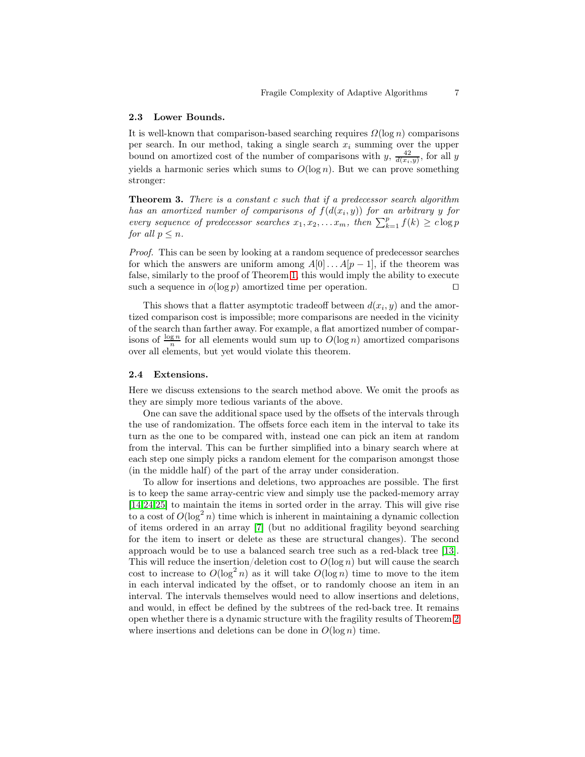### 2.3 Lower Bounds.

It is well-known that comparison-based searching requires  $\Omega(\log n)$  comparisons per search. In our method, taking a single search  $x_i$  summing over the upper bound on amortized cost of the number of comparisons with  $y, \frac{42}{d(x_i, y)}$ , for all y yields a harmonic series which sums to  $O(\log n)$ . But we can prove something stronger:

<span id="page-6-0"></span>**Theorem 3.** There is a constant c such that if a predecessor search algorithm has an amortized number of comparisons of  $f(d(x_i, y))$  for an arbitrary y for every sequence of predecessor searches  $x_1, x_2, \ldots, x_m$ , then  $\sum_{k=1}^p f(k) \geq c \log p$ for all  $p \leq n$ .

Proof. This can be seen by looking at a random sequence of predecessor searches for which the answers are uniform among  $A[0] \dots A[p-1]$ , if the theorem was false, similarly to the proof of Theorem [1,](#page-3-1) this would imply the ability to execute such a sequence in  $o(\log p)$  amortized time per operation. □

This shows that a flatter asymptotic tradeoff between  $d(x_i, y)$  and the amortized comparison cost is impossible; more comparisons are needed in the vicinity of the search than farther away. For example, a flat amortized number of comparisons of  $\frac{\log n}{n}$  for all elements would sum up to  $O(\log n)$  amortized comparisons over all elements, but yet would violate this theorem.

### 2.4 Extensions.

Here we discuss extensions to the search method above. We omit the proofs as they are simply more tedious variants of the above.

One can save the additional space used by the offsets of the intervals through the use of randomization. The offsets force each item in the interval to take its turn as the one to be compared with, instead one can pick an item at random from the interval. This can be further simplified into a binary search where at each step one simply picks a random element for the comparison amongst those (in the middle half) of the part of the array under consideration.

To allow for insertions and deletions, two approaches are possible. The first is to keep the same array-centric view and simply use the packed-memory array [14,24,25] to maintain the items in sorted order in the array. This will give rise to a cost of  $O(\log^2 n)$  time which is inherent in maintaining a dynamic collection of items ordered in an array [7] (but no additional fragility beyond searching for the item to insert or delete as these are structural changes). The second approach would be to use a balanced search tree such as a red-black tree [13]. This will reduce the insertion/deletion cost to  $O(\log n)$  but will cause the search cost to increase to  $O(\log^2 n)$  as it will take  $O(\log n)$  time to move to the item in each interval indicated by the offset, or to randomly choose an item in an interval. The intervals themselves would need to allow insertions and deletions, and would, in effect be defined by the subtrees of the red-back tree. It remains open whether there is a dynamic structure with the fragility results of Theorem [2](#page-4-1) where insertions and deletions can be done in  $O(\log n)$  time.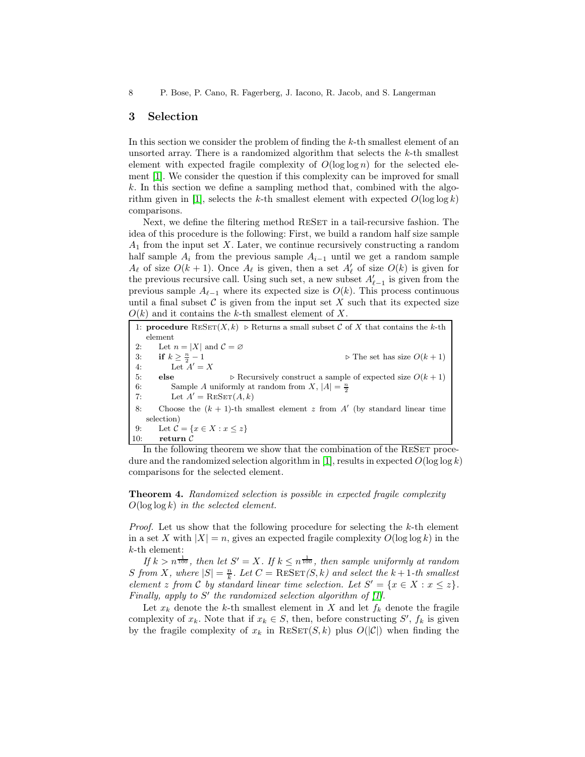8 P. Bose, P. Cano, R. Fagerberg, J. Iacono, R. Jacob, and S. Langerman

### 3 Selection

In this section we consider the problem of finding the k-th smallest element of an unsorted array. There is a randomized algorithm that selects the k-th smallest element with expected fragile complexity of  $O(\log \log n)$  for the selected element [\[1\]](#page-13-0). We consider the question if this complexity can be improved for small  $k$ . In this section we define a sampling method that, combined with the algo-rithm given in [\[1\]](#page-13-0), selects the k-th smallest element with expected  $O(\log \log k)$ comparisons.

Next, we define the filtering method RESET in a tail-recursive fashion. The idea of this procedure is the following: First, we build a random half size sample  $A_1$  from the input set X. Later, we continue recursively constructing a random half sample  $A_i$  from the previous sample  $A_{i-1}$  until we get a random sample  $A_{\ell}$  of size  $O(k + 1)$ . Once  $A_{\ell}$  is given, then a set  $A'_{\ell}$  of size  $O(k)$  is given for the previous recursive call. Using such set, a new subset  $A'_{\ell-1}$  is given from the previous sample  $A_{\ell-1}$  where its expected size is  $O(k)$ . This process continuous until a final subset  $\mathcal C$  is given from the input set X such that its expected size  $O(k)$  and it contains the k-th smallest element of X.

1: **procedure** RESET $(X, k)$  ⊳ Returns a small subset C of X that contains the k-th element 2: Let  $n = |X|$  and  $C = \emptyset$ 3: if  $k \geq \frac{n}{2}$  $\rhd$  The set has size  $O(k + 1)$ 4: Let  $A' = X$ 5: else ⊳ Recursively construct a sample of expected size  $O(k + 1)$ 6: Sample *A* uniformly at random from *X*,  $|A| = \frac{n}{2}$ 7: Let  $A' = \text{RESET}(A, k)$ 8: Choose the  $(k + 1)$ -th smallest element z from A' (by standard linear time selection) 9: Let  $\mathcal{C} = \{x \in X : x \leq z\}$ 10: return  $C$ 

In the following theorem we show that the combination of the RESET proce-dure and the randomized selection algorithm in [\[1\]](#page-13-0), results in expected  $O(\log \log k)$ comparisons for the selected element.

Theorem 4. Randomized selection is possible in expected fragile complexity  $O(\log \log k)$  in the selected element.

Proof. Let us show that the following procedure for selecting the k-th element in a set X with  $|X| = n$ , gives an expected fragile complexity  $O(\log \log k)$  in the k-th element:

If  $k > n^{\frac{1}{100}}$ , then let  $S' = X$ . If  $k \leq n^{\frac{1}{100}}$ , then sample uniformly at random S from X, where  $|S| = \frac{n}{k}$ . Let  $C = \text{RESET}(S, k)$  and select the  $k + 1$ -th smallest element z from C by standard linear time selection. Let  $S' = \{x \in X : x \leq z\}.$ Finally, apply to  $S'$  the randomized selection algorithm of  $[1]$ .

Let  $x_k$  denote the k-th smallest element in X and let  $f_k$  denote the fragile complexity of  $x_k$ . Note that if  $x_k \in S$ , then, before constructing  $S'$ ,  $f_k$  is given by the fragile complexity of  $x_k$  in  $RESET(S, k)$  plus  $O(|\mathcal{C}|)$  when finding the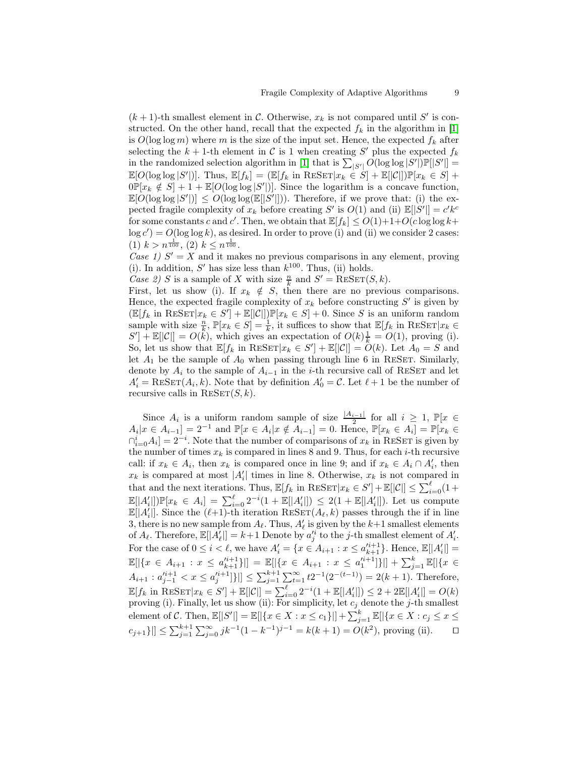$(k+1)$ -th smallest element in C. Otherwise,  $x_k$  is not compared until S' is constructed. On the other hand, recall that the expected  $f_k$  in the algorithm in [\[1\]](#page-13-0) is  $O(\log \log m)$  where m is the size of the input set. Hence, the expected  $f_k$  after selecting the  $k + 1$ -th element in C is 1 when creating S' plus the expected  $f_k$ in the randomized selection algorithm in [\[1\]](#page-13-0) that is  $\sum_{|S'|} O(\log \log |S'|) \mathbb{P}[|S'|] =$  $\mathbb{E}[O(\log \log |S'|)]$ . Thus,  $\mathbb{E}[f_k] = (\mathbb{E}[f_k \text{ in } \text{RESET}|x_k \in S] + \mathbb{E}[|C|]) \mathbb{P}[x_k \in S] +$  $0\mathbb{P}[x_k \notin S] + 1 + \mathbb{E}[O(\log \log |S'|)].$  Since the logarithm is a concave function,  $\mathbb{E}[O(\log \log |S'|)] \leq O(\log \log (\mathbb{E}[|S'|]))$ . Therefore, if we prove that: (i) the expected fragile complexity of  $x_k$  before creating  $S'$  is  $O(1)$  and (ii)  $\mathbb{E}[|S'|] = c' k^c$ for some constants c and c'. Then, we obtain that  $\mathbb{E}[f_k] \leq O(1) + 1 + O(c \log \log k +$  $log c'$  =  $O(log log k)$ , as desired. In order to prove (i) and (ii) we consider 2 cases: (1)  $k > n^{\frac{1}{100}}$ , (2)  $k \leq n^{\frac{1}{100}}$ .

Case 1)  $S' = X$  and it makes no previous comparisons in any element, proving (i). In addition, S' has size less than  $k^{100}$ . Thus, (ii) holds.

Case 2) S is a sample of X with size  $\frac{n}{k}$  and  $S' = \text{RESET}(S, k)$ .

First, let us show (i). If  $x_k \notin S$ , then there are no previous comparisons. Hence, the expected fragile complexity of  $x_k$  before constructing  $S'$  is given by  $(\mathbb{E}[f_k \text{ in } \text{RESET}|x_k \in S'] + \mathbb{E}[|C|]) \mathbb{P}[x_k \in S] + 0.$  Since S is an uniform random sample with size  $\frac{n}{k}$ ,  $\mathbb{P}[x_k \in S] = \frac{1}{k}$ , it suffices to show that  $\mathbb{E}[f_k \text{ in } \text{Res}\text{EFT}|x_k \in S]$  $S'$  +  $\mathbb{E}[\mathcal{C}] = O(k)$ , which gives an expectation of  $O(k)\frac{1}{k} = O(1)$ , proving (i). So, let us show that  $\mathbb{E}[f_k \text{ in } \text{RESET}|x_k \in S'] + \mathbb{E}[|\mathcal{C}|] = O(k)$ . Let  $A_0 = S$  and let  $A_1$  be the sample of  $A_0$  when passing through line 6 in RESET. Similarly, denote by  $A_i$  to the sample of  $A_{i-1}$  in the *i*-th recursive call of RESET and let  $A'_i = \text{RESET}(A_i, k)$ . Note that by definition  $A'_0 = C$ . Let  $\ell + 1$  be the number of recursive calls in  $\text{RESET}(S, k)$ .

Since  $A_i$  is a uniform random sample of size  $\frac{|A_{i-1}|}{2}$  for all  $i \geq 1$ ,  $\mathbb{P}[x \in$  $A_i|x \in A_{i-1}| = 2^{-1}$  and  $\mathbb{P}[x \in A_i | x \notin A_{i-1}] = 0$ . Hence,  $\mathbb{P}[x_k \in A_i] = \mathbb{P}[x_k \in A_i]$  $\bigcap_{i=0}^{i} A_i$  = 2<sup>-i</sup>. Note that the number of comparisons of  $x_k$  in RESET is given by the number of times  $x_k$  is compared in lines 8 and 9. Thus, for each *i*-th recursive call: if  $x_k \in A_i$ , then  $x_k$  is compared once in line 9; and if  $x_k \in A_i \cap A'_i$ , then  $x_k$  is compared at most  $|A'_i|$  times in line 8. Otherwise,  $x_k$  is not compared in that and the next iterations. Thus,  $\mathbb{E}[f_k \text{ in } \text{Res} \text{E}[x_k \in S'] + \mathbb{E}[|C|] \leq \sum_{i=0}^{\ell} (1 +$  $\mathbb{E}[|A'_i|] \mathbb{P}[x_k \in A_i] = \sum_{i=0}^{\ell} 2^{-i} (1 + \mathbb{E}[|A'_i|]) \le 2(1 + \mathbb{E}[|A'_i|]).$  Let us compute  $\mathbb{E}[|A'_i|]$ . Since the  $(\ell+1)$ -th iteration  $\text{RESET}(A_{\ell}, k)$  passes through the if in line 3, there is no new sample from  $A_{\ell}$ . Thus,  $A'_{\ell}$  is given by the  $k+1$  smallest elements of  $A_{\ell}$ . Therefore,  $\mathbb{E}[|A'_{\ell}|] = k+1$  Denote by  $a'^{i}_{j}$  to the j-th smallest element of  $A'_{i}$ . For the case of  $0 \le i < \ell$ , we have  $A'_i = \{x \in A_{i+1} : x \le a'^{i+1}_{k+1}\}$ . Hence,  $\mathbb{E}[|A'_i|] =$  $\mathbb{E}[|\{x \in A_{i+1} : x \le a'^{i+1}_{k+1}\}|] = \mathbb{E}[|\{x \in A_{i+1} : x \le a'^{i+1}_{1}]\}|] + \sum_{j=1}^{k} \mathbb{E}[|\{x \in A_{j+1} : x \le a'^{i+1}_{j}]\}|]$  $A_{i+1}: a_{j-1}^{\prime i+1} < x \le a_j^{\prime i+1}$ ] $\}$   $\le \sum_{j=1}^{k+1} \sum_{t=1}^{\infty} t 2^{-1} (2^{-(t-1)}) = 2(k+1)$ . Therefore,  $\mathbb{E}[f_k \text{ in } \text{Res} \text{ETr}|x_k \in S'] + \mathbb{E}[|C|] = \sum_{i=0}^{\ell} 2^{-i} (1 + \mathbb{E}[|A'_i|]) \leq 2 + 2 \mathbb{E}[|A'_i|] = O(k)$ proving (i). Finally, let us show (ii): For simplicity, let  $c_j$  denote the j-th smallest element of C. Then,  $\mathbb{E}[|S'|] = \mathbb{E}[|\{x \in X : x \le c_1\}|] + \sum_{j=1}^k \mathbb{E}[|\{x \in X : c_j \le x \le c_j\}|]$  $c_{j+1}\}\| \leq \sum_{j=1}^{k+1} \sum_{j=0}^{\infty} jk^{-1}(1-k^{-1})^{j-1} = k(k+1) = O(k^2)$ , proving (ii).  $\Box$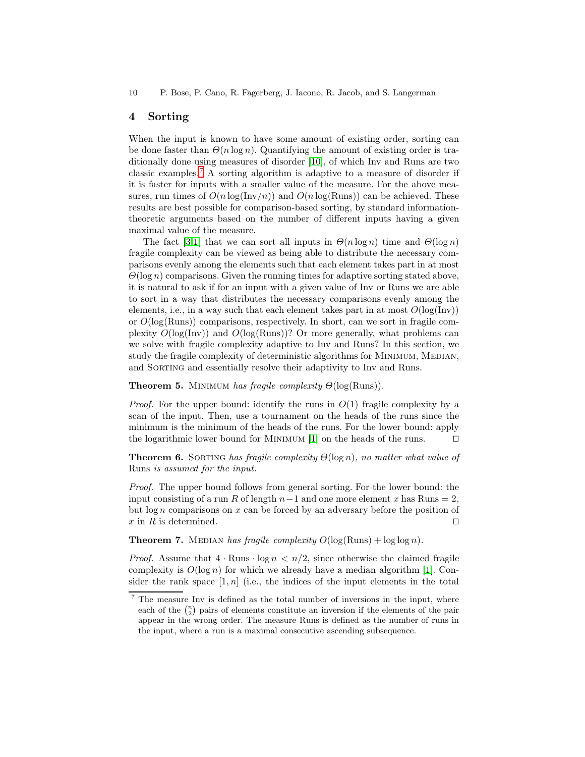10 P. Bose, P. Cano, R. Fagerberg, J. Iacono, R. Jacob, and S. Langerman

### 4 Sorting

When the input is known to have some amount of existing order, sorting can be done faster than  $\Theta(n \log n)$ . Quantifying the amount of existing order is traditionally done using measures of disorder [10], of which Inv and Runs are two classic examples.[7](#page-9-0) A sorting algorithm is adaptive to a measure of disorder if it is faster for inputs with a smaller value of the measure. For the above measures, run times of  $O(n \log(\text{Inv}/n))$  and  $O(n \log(\text{Runs}))$  can be achieved. These results are best possible for comparison-based sorting, by standard informationtheoretic arguments based on the number of different inputs having a given maximal value of the measure.

The fact [\[3](#page-13-3)[,1\]](#page-13-0) that we can sort all inputs in  $\Theta(n \log n)$  time and  $\Theta(\log n)$ fragile complexity can be viewed as being able to distribute the necessary comparisons evenly among the elements such that each element takes part in at most  $\Theta(\log n)$  comparisons. Given the running times for adaptive sorting stated above, it is natural to ask if for an input with a given value of Inv or Runs we are able to sort in a way that distributes the necessary comparisons evenly among the elements, i.e., in a way such that each element takes part in at most  $O(\log(\text{Inv}))$ or  $O(\log(Runs))$  comparisons, respectively. In short, can we sort in fragile complexity  $O(\log(\text{Inv}))$  and  $O(\log(\text{Runs}))$ ? Or more generally, what problems can we solve with fragile complexity adaptive to Inv and Runs? In this section, we study the fragile complexity of deterministic algorithms for MINIMUM, MEDIAN, and Sorting and essentially resolve their adaptivity to Inv and Runs.

### **Theorem 5.** MINIMUM has fragile complexity  $\Theta(\log(Runs)))$ .

*Proof.* For the upper bound: identify the runs in  $O(1)$  fragile complexity by a scan of the input. Then, use a tournament on the heads of the runs since the minimum is the minimum of the heads of the runs. For the lower bound: apply the logarithmic lower bound for Minimum [\[1\]](#page-13-0) on the heads of the runs. ⊓⊔

**Theorem 6.** SORTING has fragile complexity  $\Theta(\log n)$ , no matter what value of Runs is assumed for the input.

Proof. The upper bound follows from general sorting. For the lower bound: the input consisting of a run R of length  $n-1$  and one more element x has Runs = 2, but  $\log n$  comparisons on x can be forced by an adversary before the position of x in R is determined.  $□$ 

### **Theorem 7.** MEDIAN has fragile complexity  $O(\log(Runs) + \log \log n)$ .

*Proof.* Assume that  $4 \cdot \text{Runs} \cdot \log n < n/2$ , since otherwise the claimed fragile complexity is  $O(\log n)$  for which we already have a median algorithm [\[1\]](#page-13-0). Consider the rank space  $[1, n]$  (i.e., the indices of the input elements in the total

<span id="page-9-0"></span><sup>7</sup> The measure Inv is defined as the total number of inversions in the input, where each of the  $\binom{n}{2}$  pairs of elements constitute an inversion if the elements of the pair appear in the wrong order. The measure Runs is defined as the number of runs in the input, where a run is a maximal consecutive ascending subsequence.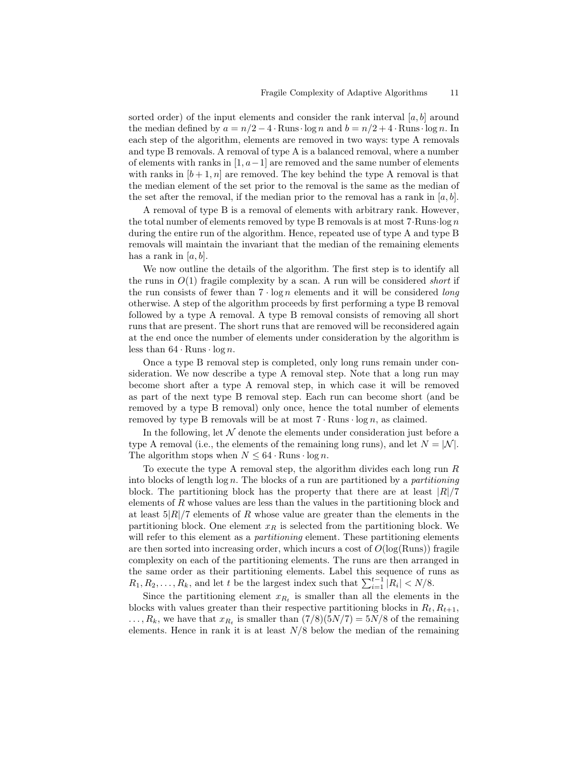sorted order) of the input elements and consider the rank interval  $[a, b]$  around the median defined by  $a = n/2 - 4 \cdot \text{Runs} \cdot \log n$  and  $b = n/2 + 4 \cdot \text{Runs} \cdot \log n$ . In each step of the algorithm, elements are removed in two ways: type A removals and type B removals. A removal of type A is a balanced removal, where a number of elements with ranks in  $[1, a-1]$  are removed and the same number of elements with ranks in  $[b+1, n]$  are removed. The key behind the type A removal is that the median element of the set prior to the removal is the same as the median of the set after the removal, if the median prior to the removal has a rank in  $[a, b]$ .

A removal of type B is a removal of elements with arbitrary rank. However, the total number of elements removed by type B removals is at most  $7 \cdot \text{Runs} \cdot \log n$ during the entire run of the algorithm. Hence, repeated use of type A and type B removals will maintain the invariant that the median of the remaining elements has a rank in  $[a, b]$ .

We now outline the details of the algorithm. The first step is to identify all the runs in  $O(1)$  fragile complexity by a scan. A run will be considered *short* if the run consists of fewer than  $7 \cdot \log n$  elements and it will be considered long otherwise. A step of the algorithm proceeds by first performing a type B removal followed by a type A removal. A type B removal consists of removing all short runs that are present. The short runs that are removed will be reconsidered again at the end once the number of elements under consideration by the algorithm is less than  $64 \cdot \text{Runs} \cdot \log n$ .

Once a type B removal step is completed, only long runs remain under consideration. We now describe a type A removal step. Note that a long run may become short after a type A removal step, in which case it will be removed as part of the next type B removal step. Each run can become short (and be removed by a type B removal) only once, hence the total number of elements removed by type B removals will be at most  $7 \cdot \text{Runs} \cdot \log n$ , as claimed.

In the following, let  $N$  denote the elements under consideration just before a type A removal (i.e., the elements of the remaining long runs), and let  $N = |\mathcal{N}|$ . The algorithm stops when  $N \leq 64 \cdot \text{Runs} \cdot \log n$ .

To execute the type A removal step, the algorithm divides each long run  $R$ into blocks of length  $\log n$ . The blocks of a run are partitioned by a *partitioning* block. The partitioning block has the property that there are at least  $|R|/7$ elements of  $R$  whose values are less than the values in the partitioning block and at least  $5|R|/7$  elements of R whose value are greater than the elements in the partitioning block. One element  $x_R$  is selected from the partitioning block. We will refer to this element as a *partitioning* element. These partitioning elements are then sorted into increasing order, which incurs a cost of  $O(log(Runs))$  fragile complexity on each of the partitioning elements. The runs are then arranged in the same order as their partitioning elements. Label this sequence of runs as  $R_1, R_2, \ldots, R_k$ , and let t be the largest index such that  $\sum_{i=1}^{t-1} |R_i| < N/8$ .

Since the partitioning element  $x_{R_t}$  is smaller than all the elements in the blocks with values greater than their respective partitioning blocks in  $R_t, R_{t+1}$ ,  $\ldots, R_k$ , we have that  $x_{R_t}$  is smaller than  $(7/8)(5N/7) = 5N/8$  of the remaining elements. Hence in rank it is at least  $N/8$  below the median of the remaining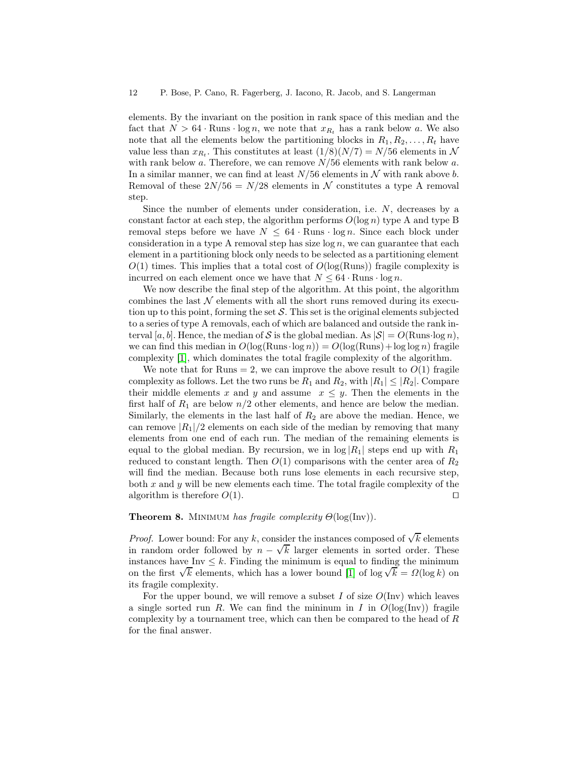elements. By the invariant on the position in rank space of this median and the fact that  $N > 64 \cdot \text{Runs} \cdot \log n$ , we note that  $x_{R_t}$  has a rank below a. We also note that all the elements below the partitioning blocks in  $R_1, R_2, \ldots, R_t$  have value less than  $x_{R_t}$ . This constitutes at least  $(1/8)(N/7) = N/56$  elements in N with rank below  $a$ . Therefore, we can remove  $N/56$  elements with rank below  $a$ . In a similar manner, we can find at least  $N/56$  elements in  $N$  with rank above b. Removal of these  $2N/56 = N/28$  elements in N constitutes a type A removal step.

Since the number of elements under consideration, i.e. N, decreases by a constant factor at each step, the algorithm performs  $O(\log n)$  type A and type B removal steps before we have  $N \leq 64 \cdot \text{Runs} \cdot \log n$ . Since each block under consideration in a type A removal step has size  $\log n$ , we can guarantee that each element in a partitioning block only needs to be selected as a partitioning element  $O(1)$  times. This implies that a total cost of  $O(\log(Runs))$  fragile complexity is incurred on each element once we have that  $N\leq 64\cdot \mathrm{Runs}\cdot \log n.$ 

We now describe the final step of the algorithm. At this point, the algorithm combines the last  $N$  elements with all the short runs removed during its execution up to this point, forming the set  $S$ . This set is the original elements subjected to a series of type A removals, each of which are balanced and outside the rank interval [a, b]. Hence, the median of S is the global median. As  $|S| = O(R$ uns·log n), we can find this median in  $O(\log(Runs \cdot \log n)) = O(\log(Runs) + \log \log n)$  fragile complexity [\[1\]](#page-13-0), which dominates the total fragile complexity of the algorithm.

We note that for Runs  $= 2$ , we can improve the above result to  $O(1)$  fragile complexity as follows. Let the two runs be  $R_1$  and  $R_2$ , with  $|R_1| \leq |R_2|$ . Compare their middle elements x and y and assume  $x \leq y$ . Then the elements in the first half of  $R_1$  are below  $n/2$  other elements, and hence are below the median. Similarly, the elements in the last half of  $R_2$  are above the median. Hence, we can remove  $|R_1|/2$  elements on each side of the median by removing that many elements from one end of each run. The median of the remaining elements is equal to the global median. By recursion, we in  $\log |R_1|$  steps end up with  $R_1$ reduced to constant length. Then  $O(1)$  comparisons with the center area of  $R_2$ will find the median. Because both runs lose elements in each recursive step, both  $x$  and  $y$  will be new elements each time. The total fragile complexity of the algorithm is therefore  $O(1)$ . □

### **Theorem 8.** MINIMUM has fragile complexity  $\Theta(\log(\text{Inv}))$ .

*Proof.* Lower bound: For any k, consider the instances composed of  $\sqrt{k}$  elements in random order followed by  $n - \sqrt{k}$  larger elements in sorted order. These instances have Inv  $\leq k$ . Finding the minimum is equal to finding the minimum on the first  $\sqrt{k}$  elements, which has a lower bound [\[1\]](#page-13-0) of log  $\sqrt{k} = \Omega(\log k)$  on its fragile complexity.

For the upper bound, we will remove a subset I of size  $O(\text{Inv})$  which leaves a single sorted run R. We can find the mininum in I in  $O(log(Inv))$  fragile complexity by a tournament tree, which can then be compared to the head of  $R$ for the final answer.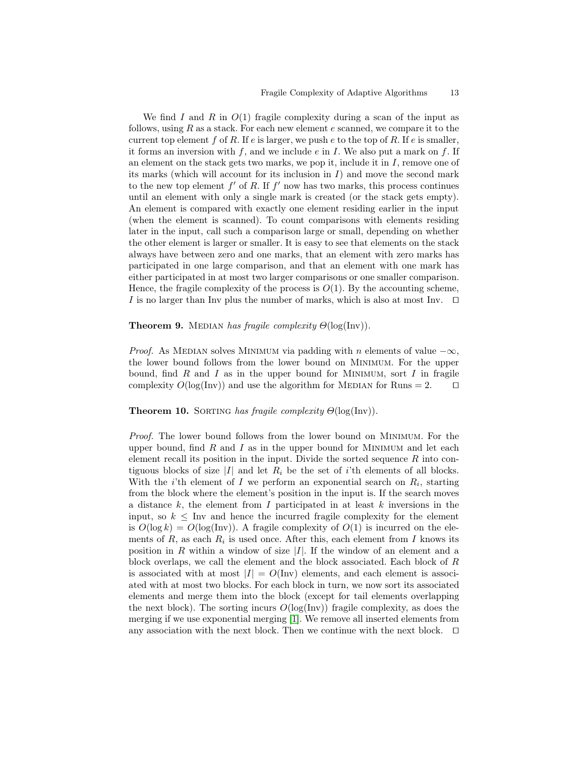We find I and R in  $O(1)$  fragile complexity during a scan of the input as follows, using  $R$  as a stack. For each new element  $e$  scanned, we compare it to the current top element f of R. If e is larger, we push e to the top of R. If e is smaller, it forms an inversion with f, and we include  $e$  in I. We also put a mark on f. If an element on the stack gets two marks, we pop it, include it in  $I$ , remove one of its marks (which will account for its inclusion in  $I$ ) and move the second mark to the new top element  $f'$  of R. If  $f'$  now has two marks, this process continues until an element with only a single mark is created (or the stack gets empty). An element is compared with exactly one element residing earlier in the input (when the element is scanned). To count comparisons with elements residing later in the input, call such a comparison large or small, depending on whether the other element is larger or smaller. It is easy to see that elements on the stack always have between zero and one marks, that an element with zero marks has participated in one large comparison, and that an element with one mark has either participated in at most two larger comparisons or one smaller comparison. Hence, the fragile complexity of the process is  $O(1)$ . By the accounting scheme, I is no larger than Inv plus the number of marks, which is also at most Inv.  $\Box$ 

#### **Theorem 9.** MEDIAN has fragile complexity  $\Theta(\log(\text{Inv}))$ .

*Proof.* As MEDIAN solves MINIMUM via padding with n elements of value  $-\infty$ , the lower bound follows from the lower bound on Minimum. For the upper bound, find  $R$  and  $I$  as in the upper bound for MINIMUM, sort  $I$  in fragile complexity  $O(\log(\text{Inv}))$  and use the algorithm for MEDIAN for Runs = 2. □

### **Theorem 10.** SORTING has fragile complexity  $\Theta(\log(\text{Inv}))$ .

Proof. The lower bound follows from the lower bound on MINIMUM. For the upper bound, find  $R$  and  $I$  as in the upper bound for MINIMUM and let each element recall its position in the input. Divide the sorted sequence  $R$  into contiguous blocks of size |I| and let  $R_i$  be the set of i'th elements of all blocks. With the *i*'th element of I we perform an exponential search on  $R_i$ , starting from the block where the element's position in the input is. If the search moves a distance  $k$ , the element from  $I$  participated in at least  $k$  inversions in the input, so  $k \leq$  Inv and hence the incurred fragile complexity for the element is  $O(\log k) = O(\log(\ln n))$ . A fragile complexity of  $O(1)$  is incurred on the elements of  $R$ , as each  $R_i$  is used once. After this, each element from  $I$  knows its position in R within a window of size  $|I|$ . If the window of an element and a block overlaps, we call the element and the block associated. Each block of R is associated with at most  $|I| = O(\text{Inv})$  elements, and each element is associated with at most two blocks. For each block in turn, we now sort its associated elements and merge them into the block (except for tail elements overlapping the next block). The sorting incurs  $O(log(Inv))$  fragile complexity, as does the merging if we use exponential merging [\[1\]](#page-13-0). We remove all inserted elements from any association with the next block. Then we continue with the next block. ⊓⊔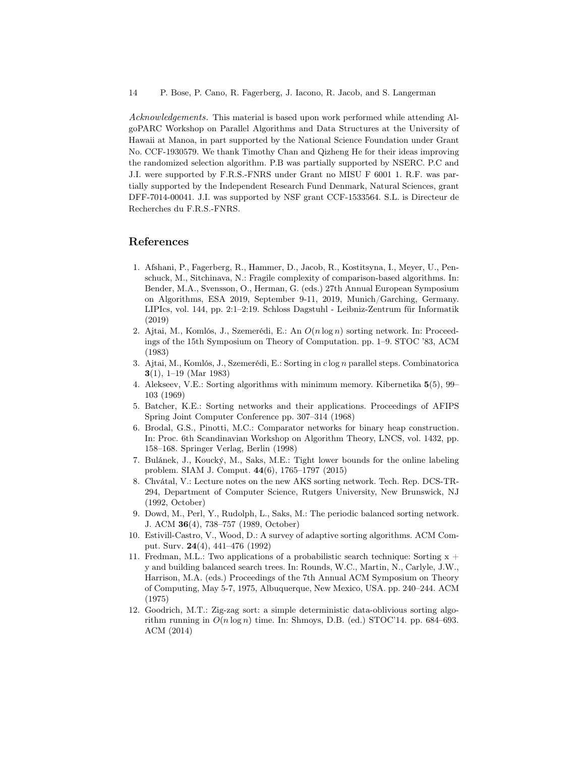Acknowledgements. This material is based upon work performed while attending AlgoPARC Workshop on Parallel Algorithms and Data Structures at the University of Hawaii at Manoa, in part supported by the National Science Foundation under Grant No. CCF-1930579. We thank Timothy Chan and Qizheng He for their ideas improving the randomized selection algorithm. P.B was partially supported by NSERC. P.C and J.I. were supported by F.R.S.-FNRS under Grant no MISU F 6001 1. R.F. was partially supported by the Independent Research Fund Denmark, Natural Sciences, grant DFF-7014-00041. J.I. was supported by NSF grant CCF-1533564. S.L. is Directeur de Recherches du F.R.S.-FNRS.

### References

- <span id="page-13-0"></span>1. Afshani, P., Fagerberg, R., Hammer, D., Jacob, R., Kostitsyna, I., Meyer, U., Penschuck, M., Sitchinava, N.: Fragile complexity of comparison-based algorithms. In: Bender, M.A., Svensson, O., Herman, G. (eds.) 27th Annual European Symposium on Algorithms, ESA 2019, September 9-11, 2019, Munich/Garching, Germany. LIPIcs, vol. 144, pp. 2:1–2:19. Schloss Dagstuhl - Leibniz-Zentrum für Informatik (2019)
- <span id="page-13-2"></span>2. Ajtai, M., Komlós, J., Szemerédi, E.: An O(n log n) sorting network. In: Proceedings of the 15th Symposium on Theory of Computation. pp. 1–9. STOC '83, ACM (1983)
- <span id="page-13-4"></span><span id="page-13-3"></span>3. Ajtai, M., Komlós, J., Szemerédi, E.: Sorting in c log n parallel steps. Combinatorica 3(1), 1–19 (Mar 1983)
- 4. Alekseev, V.E.: Sorting algorithms with minimum memory. Kibernetika 5(5), 99– 103 (1969)
- <span id="page-13-1"></span>5. Batcher, K.E.: Sorting networks and their applications. Proceedings of AFIPS Spring Joint Computer Conference pp. 307–314 (1968)
- <span id="page-13-5"></span>6. Brodal, G.S., Pinotti, M.C.: Comparator networks for binary heap construction. In: Proc. 6th Scandinavian Workshop on Algorithm Theory, LNCS, vol. 1432, pp. 158–168. Springer Verlag, Berlin (1998)
- 7. Bulánek, J., Koucký, M., Saks, M.E.: Tight lower bounds for the online labeling problem. SIAM J. Comput. 44(6), 1765–1797 (2015)
- 8. Chvátal, V.: Lecture notes on the new AKS sorting network. Tech. Rep. DCS-TR-294, Department of Computer Science, Rutgers University, New Brunswick, NJ (1992, October)
- 9. Dowd, M., Perl, Y., Rudolph, L., Saks, M.: The periodic balanced sorting network. J. ACM 36(4), 738–757 (1989, October)
- 10. Estivill-Castro, V., Wood, D.: A survey of adaptive sorting algorithms. ACM Comput. Surv. 24(4), 441–476 (1992)
- 11. Fredman, M.L.: Two applications of a probabilistic search technique: Sorting  $x +$ y and building balanced search trees. In: Rounds, W.C., Martin, N., Carlyle, J.W., Harrison, M.A. (eds.) Proceedings of the 7th Annual ACM Symposium on Theory of Computing, May 5-7, 1975, Albuquerque, New Mexico, USA. pp. 240–244. ACM (1975)
- 12. Goodrich, M.T.: Zig-zag sort: a simple deterministic data-oblivious sorting algorithm running in  $O(n \log n)$  time. In: Shmoys, D.B. (ed.) STOC'14. pp. 684–693. ACM (2014)